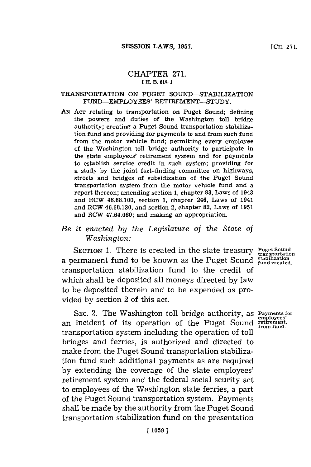## CHAPTER **271. [(H. B. 614.1**

## **TRANSPORTATION ON PUGET SOUND-STABILIZATION** FUND-EMPLOYEES' RETIREMENT-STUDY.

*AN~* **ACT** relating to transportation on Puget Sound; defining the powers and duties of the Washington toll bridge authority; creating a Puget Sound transportation stabilization fund and providing for payments to and from such fund from the motor vehicle fund; permitting every employee of the Washington toll bridge authority to participate in the state employees' retirement system and for payments to establish service credit in such system; providing for a study **by** the joint fact-finding committee on highways, streets and bridges of subsidization of the Puget Sound transportation system from the motor vehicle fund and a report thereon; amending section **1,** chapter **83,** Laws of 1943 and ROW **46.68.100,** section **1,** chapter 246, Laws of 1941 and RCW **46.68.130,** and section 2, chapter **82,** Laws of **1951** and ROW 47.64.060; and making an appropriation.

## *Be it enacted by the Legislature of the State of Washington:*

**SECTION 1.** There is created in the state treasury Puget So a permanent fund to be known as the Puget Sound  $\frac{1}{\text{final}}$ transportation stabilization fund to the credit of which shall be deposited all moneys directed **by** law to be deposited therein and to be expended as provided **by** section 2 of this act.

SEC. 2. The Washington toll bridge authority, as **Payments for** an incident of its operation of the Puget Sound **retirement** transportation system including the operation of toll bridges and ferries, is authorized and directed to make from the Puget Sound transportation stabilization fund such additional payments as are required **by** extending the coverage of the state employees' retirement system and the federal social scurity act to employees of the Washington state ferries, a part of the Puget Sound transportation system. Payments shall be made **by** the authority from the Puget Sound transportation stabilization fund on the presentation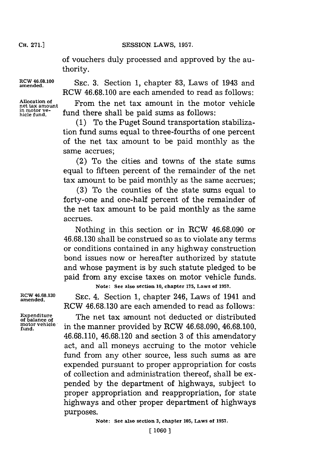**CH. 271.1**

CH. **71.1SESSION.** LAWS, **1957.**

of vouchers duly processed and approved **by** the authority.

**Allocation of in motor ve-**

**amend4..0 SEC. 3.** Section **1,** chapter **83,** Laws of 1943 and RCW **46.68.100** are each amended to read as follows:

> From the net tax amount in the motor vehicle fund there shall be paid sums as follows:

> **(1)** To the Puget Sound transportation stabilization fund sums equal to three-fourths of one percent of the net tax amount to be paid monthly as the same accrues;

> (2) To the cities and towns of the state sums equal to fifteen percent of the remainder of the net tax amount to be paid monthly as the same accrues;

> **(3)** To the counties of the state sums equal to forty-one and one-half percent of the remainder of the net tax amount to be paid monthly as the same accrues.

> Nothing in this section or in RCW **46.68.090** or **46.68.130** shall be construed so as to violate any terms or conditions contained in any highway construction bond issues now or hereafter authorized **by** statute and whose payment is **by** such statute pledged to be paid from any excise taxes on motor vehicle funds. **Note: See also section 10, chapter 175, Laws of 1957.**

RCW 46.68.130 **SEC. 4. Section 1, chapter 246, Laws of 1941 and** RCW **46.68. 130** are each amended to read as follows:

> The net tax amount not deducted or distributed **fund.** in the manner provided **by** RCW **46.68.090, 46.68.100, 46.68.110, 46.68.120** and section **3** of this amendatory act, and all moneys accruing to the motor vehicle fund from any other source, less such sums as are expended pursuant to proper appropriation for costs of collection and administration thereof, shall be expended **by** the department of highways, subject to proper appropriation and reappropriation, for state highways and other proper department of highways purposes.

> > **Note: See also section 3, chapter 105, Laws of 1957.**

**Expenditure**<br>of balance of<br>motor vehicle<br>fund.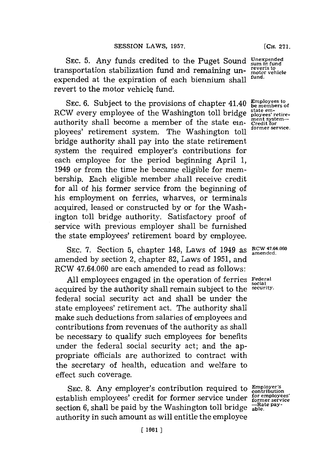**SEC. 5.** Any funds credited to the Puget Sound transportation stabilization fund and remaining unexpended at the expiration of each biennium shall revert to the motor vehicle fund.

**SEC. 6.** Subject to the provisions of chapter 41.40 RCW every employee of the Washington toll bridge authority shall become a member of the state einployees' retirement system. The Washington toll bridge authority shall pay into the state retirement system the required employer's contributions for each employee for the period beginning April **1,** 1949 or from the time he became eligible for membership. Each eligible member shall receive credit for all of his former service from the beginning of his employment on ferries, wharves, or terminals acquired, leased or constructed **by** or for the Washington toll bridge authority. Satisfactory proof of service with previous employer shall be furnished the state employees' retirement board **by** employee.

SEC. 7. Section 5, chapter 148, Laws of 1949 as **RCW 47.64.060** amended **by** section 2, chapter **82,** Laws of **1951,** and RCW 47.64.060 are each amended to read as follows:

**All** employees engaged in the operation of ferries **Federal social** acquired by the authority shall remain subject to the federal social security act and shall be under the state employees' retirement act. The authority shall make such deductions from salaries of employees and contributions from revenues of the authority as shall be necessary to qualify such employees for benefits under the federal social security act; and the appropriate officials are authorized to contract with the secretary of health, education and welfare to effect such coverage.

SEC. 8. Any employer's contribution required to establish employees' credit for former service under section 6, shall be paid by the Washington toll bridge  $\frac{-Ra}{able}$ . authority in such amount as will entitle the employee

 $Employer's$ contribution **oyees' ervice** -Rate pay-

**Unexpended sum in fund reverts to motor vehicle fund.**

**Employees to be members of state em- ployees' retirement system- Credit for former service.**